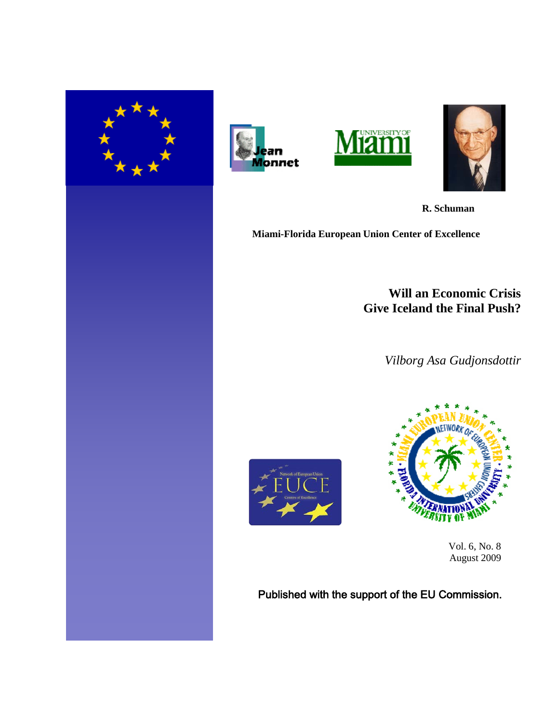







 **R. Schuman**

**Miami-Florida European Union Center of Excellence**

## **Will an Economic Crisis Give Iceland the Final Push?**

*Vilborg Asa Gudjonsdottir*





 Vol. 6, No. 8 August 2009

Published with the support of the EU Commission.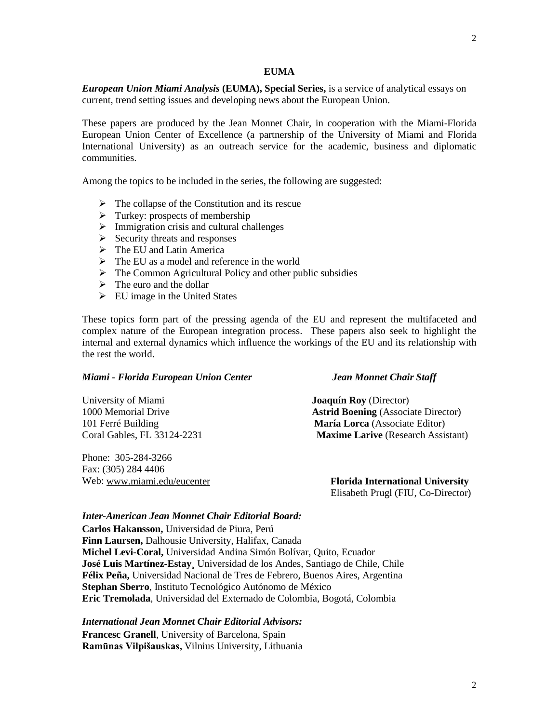#### **EUMA**

*European Union Miami Analysis* **(EUMA), Special Series,** is a service of analytical essays on current, trend setting issues and developing news about the European Union.

These papers are produced by the Jean Monnet Chair, in cooperation with the Miami-Florida European Union Center of Excellence (a partnership of the University of Miami and Florida International University) as an outreach service for the academic, business and diplomatic communities.

Among the topics to be included in the series, the following are suggested:

- $\triangleright$  The collapse of the Constitution and its rescue
- $\triangleright$  Turkey: prospects of membership
- $\triangleright$  Immigration crisis and cultural challenges
- $\triangleright$  Security threats and responses
- $\triangleright$  The EU and Latin America
- $\triangleright$  The EU as a model and reference in the world
- $\triangleright$  The Common Agricultural Policy and other public subsidies
- $\triangleright$  The euro and the dollar
- $\triangleright$  EU image in the United States

These topics form part of the pressing agenda of the EU and represent the multifaceted and complex nature of the European integration process. These papers also seek to highlight the internal and external dynamics which influence the workings of the EU and its relationship with the rest the world.

#### *Miami - Florida European Union Center Jean Monnet Chair Staff*

| <b>Astrid Boening</b> (Associate Director) |
|--------------------------------------------|
| María Lorca (Associate Editor)             |
| <b>Maxime Larive</b> (Research Assistant)  |
|                                            |

Phone: 305-284-3266 Fax: (305) 284 4406 Web: [www.miami.edu/eucenter](http://www.miami.edu/eucenter) **Florida International University**

Elisabeth Prugl (FIU, Co-Director)

#### *Inter-American Jean Monnet Chair Editorial Board:*

**Carlos Hakansson,** Universidad de Piura, Perú **Finn Laursen,** Dalhousie University, Halifax, Canada **Michel Levi-Coral,** Universidad Andina Simón Bolívar, Quito, Ecuador **José Luis Martínez-Estay¸** Universidad de los Andes, Santiago de Chile, Chile **Félix Peña,** Universidad Nacional de Tres de Febrero, Buenos Aires, Argentina **Stephan Sberro**, Instituto Tecnológico Autónomo de México **Eric Tremolada**, Universidad del Externado de Colombia, Bogotá, Colombia

#### *International Jean Monnet Chair Editorial Advisors:*

**Francesc Granell**, University of Barcelona, Spain **Ramūnas Vilpišauskas,** Vilnius University, Lithuania

# 2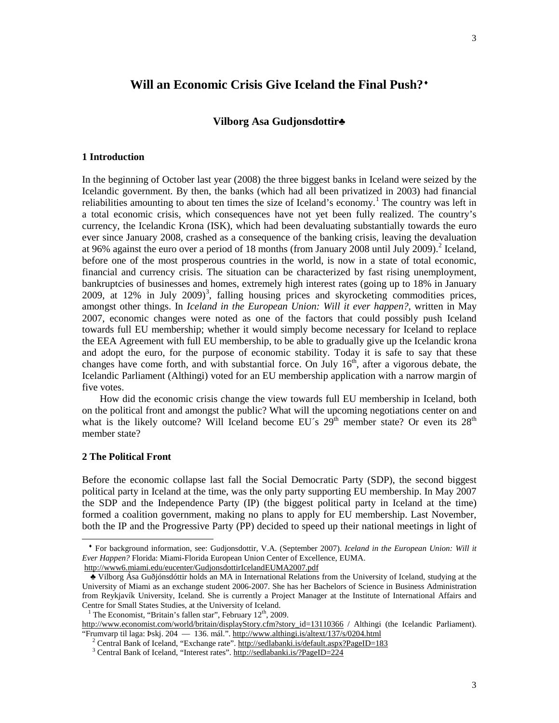### **Will an Economic Crisis Give Iceland the Final Push?**[♦](#page-2-0)

#### **Vilborg Asa Gudjonsdottir**♣

#### **1 Introduction**

In the beginning of October last year (2008) the three biggest banks in Iceland were seized by the Icelandic government. By then, the banks (which had all been privatized in 2003) had financial reliabilities amounting to about ten times the size of Iceland's economy.<sup>[1](#page-2-1)</sup> The country was left in a total economic crisis, which consequences have not yet been fully realized. The country's currency, the Icelandic Krona (ISK), which had been devaluating substantially towards the euro ever since January 2008, crashed as a consequence of the banking crisis, leaving the devaluation at 96% against the euro over a period of 18 months (from January 2008 until July 2009).[2](#page-2-2) Iceland, before one of the most prosperous countries in the world, is now in a state of total economic, financial and currency crisis. The situation can be characterized by fast rising unemployment, bankruptcies of businesses and homes, extremely high interest rates (going up to 18% in January 2009, at 12% in July 2009)<sup>[3](#page-2-3)</sup>, falling housing prices and skyrocketing commodities prices, amongst other things. In *Iceland in the European Union: Will it ever happen?,* written in May 2007, economic changes were noted as one of the factors that could possibly push Iceland towards full EU membership; whether it would simply become necessary for Iceland to replace the EEA Agreement with full EU membership, to be able to gradually give up the Icelandic krona and adopt the euro, for the purpose of economic stability. Today it is safe to say that these changes have come forth, and with substantial force. On July  $16<sup>th</sup>$ , after a vigorous debate, the Icelandic Parliament (Althingi) voted for an EU membership application with a narrow margin of five votes.

 How did the economic crisis change the view towards full EU membership in Iceland, both on the political front and amongst the public? What will the upcoming negotiations center on and what is the likely outcome? Will Iceland become EU's  $29<sup>th</sup>$  member state? Or even its  $28<sup>th</sup>$ member state?

#### **2 The Political Front**

 $\overline{a}$ 

Before the economic collapse last fall the Social Democratic Party (SDP), the second biggest political party in Iceland at the time, was the only party supporting EU membership. In May 2007 the SDP and the Independence Party (IP) (the biggest political party in Iceland at the time) formed a coalition government, making no plans to apply for EU membership. Last November, both the IP and the Progressive Party (PP) decided to speed up their national meetings in light of

<span id="page-2-0"></span>♦ For background information, see: Gudjonsdottir, V.A. (September 2007). *Iceland in the European Union: Will it Ever Happen?* Florida: Miami-Florida European Union Center of Excellence, EUMA. <http://www6.miami.edu/eucenter/GudjonsdottirIcelandEUMA2007.pdf>

<span id="page-2-1"></span>♣ Vilborg Ása Guðjónsdóttir holds an MA in International Relations from the University of Iceland, studying at the University of Miami as an exchange student 2006-2007. She has her Bachelors of Science in Business Administration from Reykjavík University, Iceland. She is currently a Project Manager at the Institute of International Affairs and Centre for Small States Studies, at the University of Iceland.

<sup>&</sup>lt;sup>1</sup> The Economist, "Britain's fallen star", February  $12<sup>th</sup>$ , 2009.

<span id="page-2-3"></span><span id="page-2-2"></span>[http://www.economist.com/world/britain/displayStory.cfm?story\\_id=13110366](http://www.economist.com/world/britain/displayStory.cfm?story_id=13110366) / Althingi (the Icelandic Parliament). "Frumvarp til laga: Þskj. 204 — 136. mál.".<http://www.althingi.is/altext/137/s/0204.html>

<sup>&</sup>lt;sup>2</sup> Central Bank of Iceland, "Exchange rate".<http://sedlabanki.is/default.aspx?PageID=183>

<sup>3</sup> Central Bank of Iceland, "Interest rates".<http://sedlabanki.is/?PageID=224>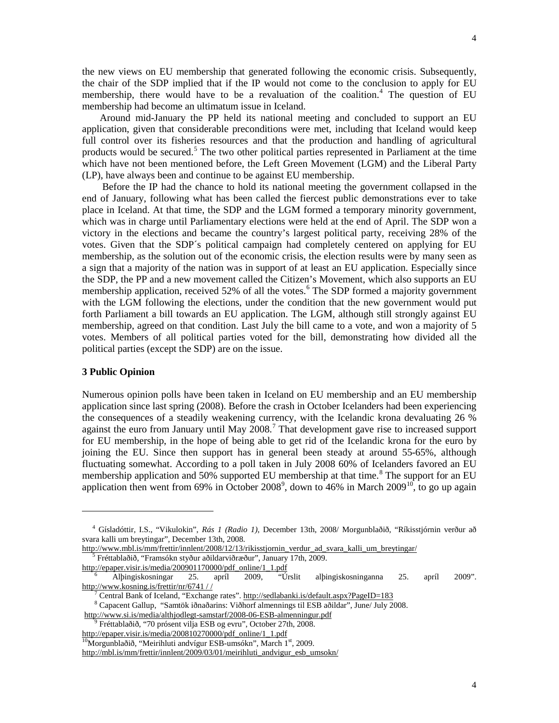the new views on EU membership that generated following the economic crisis. Subsequently, the chair of the SDP implied that if the IP would not come to the conclusion to apply for EU membership, there would have to be a revaluation of the coalition.<sup>[4](#page-3-0)</sup> The question of EU membership had become an ultimatum issue in Iceland.

 Around mid-January the PP held its national meeting and concluded to support an EU application, given that considerable preconditions were met, including that Iceland would keep full control over its fisheries resources and that the production and handling of agricultural products would be secured.<sup>[5](#page-3-1)</sup> The two other political parties represented in Parliament at the time which have not been mentioned before, the Left Green Movement (LGM) and the Liberal Party (LP), have always been and continue to be against EU membership.

 Before the IP had the chance to hold its national meeting the government collapsed in the end of January, following what has been called the fiercest public demonstrations ever to take place in Iceland. At that time, the SDP and the LGM formed a temporary minority government, which was in charge until Parliamentary elections were held at the end of April. The SDP won a victory in the elections and became the country's largest political party, receiving 28% of the votes. Given that the SDP´s political campaign had completely centered on applying for EU membership, as the solution out of the economic crisis, the election results were by many seen as a sign that a majority of the nation was in support of at least an EU application. Especially since the SDP, the PP and a new movement called the Citizen's Movement, which also supports an EU membership application, received 52% of all the votes.<sup>[6](#page-3-2)</sup> The SDP formed a majority government with the LGM following the elections, under the condition that the new government would put forth Parliament a bill towards an EU application. The LGM, although still strongly against EU membership, agreed on that condition. Last July the bill came to a vote, and won a majority of 5 votes. Members of all political parties voted for the bill, demonstrating how divided all the political parties (except the SDP) are on the issue.

#### **3 Public Opinion**

 $\overline{a}$ 

Numerous opinion polls have been taken in Iceland on EU membership and an EU membership application since last spring (2008). Before the crash in October Icelanders had been experiencing the consequences of a steadily weakening currency, with the Icelandic krona devaluating 26 % against the euro from January until May 2008.<sup>[7](#page-3-3)</sup> That development gave rise to increased support for EU membership, in the hope of being able to get rid of the Icelandic krona for the euro by joining the EU. Since then support has in general been steady at around 55-65%, although fluctuating somewhat. According to a poll taken in July 2008 60% of Icelanders favored an EU membership application and 50% supported EU membership at that time.<sup>[8](#page-3-4)</sup> The support for an EU application then went from 6[9](#page-3-5)% in October 2008<sup>9</sup>, down to 46% in March 2009<sup>[10](#page-3-6)</sup>, to go up again

<span id="page-3-0"></span><sup>4</sup> Gísladóttir, I.S., "Vikulokin", *Rás 1 (Radio 1)*, December 13th, 2008/ Morgunblaðið, "Ríkisstjórnin verður að svara kalli um breytingar", December 13th, 2008.

[http://www.mbl.is/mm/frettir/innlent/2008/12/13/rikisstjornin\\_verdur\\_ad\\_svara\\_kalli\\_um\\_breytingar/](http://www.mbl.is/mm/frettir/innlent/2008/12/13/rikisstjornin_verdur_ad_svara_kalli_um_breytingar/)

<sup>5</sup> Fréttablaðið, "Framsókn styður aðildarviðræður", January 17th, 2009.

<span id="page-3-1"></span>[http://epaper.visir.is/media/200901170000/pdf\\_online/1\\_1.pdf](http://epaper.visir.is/media/200901170000/pdf_online/1_1.pdf)

<span id="page-3-3"></span><span id="page-3-2"></span><sup>6</sup> Alþingiskosningar 25. apríl 2009, "Úrslit alþingiskosninganna 25. apríl 2009". [http://www.kosning.is/frettir/nr/6741 / /](http://www.kosning.is/frettir/nr/6741%20/%20/)

<sup>&</sup>lt;sup>7</sup> Central Bank of Iceland, "Exchange rates"[. http://sedlabanki.is/default.aspx?PageID=183](http://sedlabanki.is/default.aspx?PageID=183)

<sup>8</sup> Capacent Gallup, "Samtök iðnaðarins: Viðhorf almennings til ESB aðildar", June/ July 2008.

<span id="page-3-4"></span><http://www.si.is/media/althjodlegt-samstarf/2008-06-ESB-almenningur.pdf>

<span id="page-3-5"></span><sup>9</sup> Fréttablaðið, "70 prósent vilja ESB og evru", October 27th, 2008. [http://epaper.visir.is/media/200810270000/pdf\\_online/1\\_1.pdf](http://epaper.visir.is/media/200810270000/pdf_online/1_1.pdf)

<span id="page-3-6"></span><sup>&</sup>lt;sup>10</sup>Morgunblaðið, "Meirihluti andvígur ESB-umsókn", March 1<sup>st</sup>, 2009.

[http://mbl.is/mm/frettir/innlent/2009/03/01/meirihluti\\_andvigur\\_esb\\_umsokn/](http://mbl.is/mm/frettir/innlent/2009/03/01/meirihluti_andvigur_esb_umsokn/)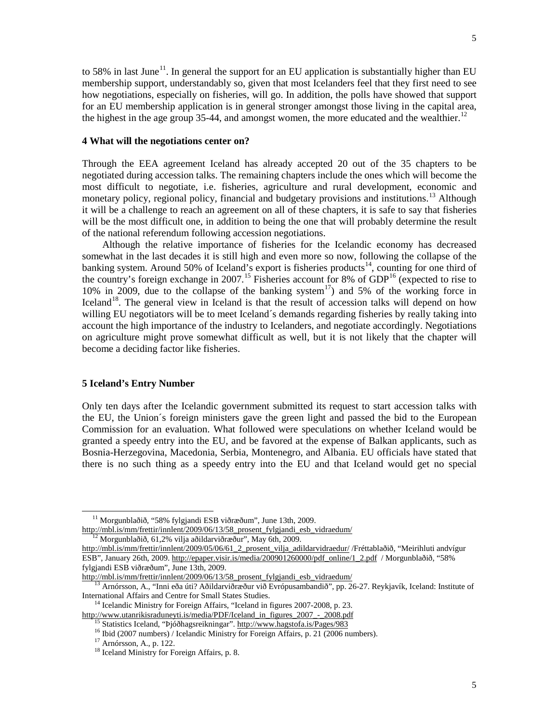to 58% in last June<sup>11</sup>. In general the support for an EU application is substantially higher than EU membership support, understandably so, given that most Icelanders feel that they first need to see how negotiations, especially on fisheries, will go. In addition, the polls have showed that support for an EU membership application is in general stronger amongst those living in the capital area, the highest in the age group 35-44, and amongst women, the more educated and the wealthier.<sup>[12](#page-4-1)</sup>

#### **4 What will the negotiations center on?**

Through the EEA agreement Iceland has already accepted 20 out of the 35 chapters to be negotiated during accession talks. The remaining chapters include the ones which will become the most difficult to negotiate, i.e. fisheries, agriculture and rural development, economic and monetary policy, regional policy, financial and budgetary provisions and institutions.<sup>[13](#page-4-2)</sup> Although it will be a challenge to reach an agreement on all of these chapters, it is safe to say that fisheries will be the most difficult one, in addition to being the one that will probably determine the result of the national referendum following accession negotiations.

 Although the relative importance of fisheries for the Icelandic economy has decreased somewhat in the last decades it is still high and even more so now, following the collapse of the banking system. Around 50% of Iceland's export is fisheries products<sup>[14](#page-4-3)</sup>, counting for one third of the country's foreign exchange in 2007.<sup>[15](#page-4-4)</sup> Fisheries account for 8% of  $GDP<sup>16</sup>$  $GDP<sup>16</sup>$  $GDP<sup>16</sup>$  (expected to rise to 10% in 2009, due to the collapse of the banking system<sup>17</sup>) and 5% of the working force in Iceland<sup>18</sup>. The general view in Iceland is that the result of accession talks will depend on how willing EU negotiators will be to meet Iceland's demands regarding fisheries by really taking into account the high importance of the industry to Icelanders, and negotiate accordingly. Negotiations on agriculture might prove somewhat difficult as well, but it is not likely that the chapter will become a deciding factor like fisheries.

#### **5 Iceland's Entry Number**

Only ten days after the Icelandic government submitted its request to start accession talks with the EU, the Union´s foreign ministers gave the green light and passed the bid to the European Commission for an evaluation. What followed were speculations on whether Iceland would be granted a speedy entry into the EU, and be favored at the expense of Balkan applicants, such as Bosnia-Herzegovina, Macedonia, Serbia, Montenegro, and Albania. EU officials have stated that there is no such thing as a speedy entry into the EU and that Iceland would get no special

 $\overline{a}$ 

<sup>11</sup> Morgunblaðið, "58% fylgjandi ESB viðræðum", June 13th, 2009.

<span id="page-4-0"></span>[http://mbl.is/mm/frettir/innlent/2009/06/13/58\\_prosent\\_fylgjandi\\_esb\\_vidraedum/](http://mbl.is/mm/frettir/innlent/2009/06/13/58_prosent_fylgjandi_esb_vidraedum/)

<sup>12</sup> Morgunblaðið, 61,2% vilja aðildarviðræður", May 6th, 2009.

<span id="page-4-1"></span>[http://mbl.is/mm/frettir/innlent/2009/05/06/61\\_2\\_prosent\\_vilja\\_adildarvidraedur/](http://mbl.is/mm/frettir/innlent/2009/05/06/61_2_prosent_vilja_adildarvidraedur/) /Fréttablaðið, "Meirihluti andvígur ESB", January 26th, 2009[. http://epaper.visir.is/media/200901260000/pdf\\_online/1\\_2.pdf](http://epaper.visir.is/media/200901260000/pdf_online/1_2.pdf) / Morgunblaðið, "58% fylgjandi ESB viðræðum", June 13th, 2009.

[http://mbl.is/mm/frettir/innlent/2009/06/13/58\\_prosent\\_fylgjandi\\_esb\\_vidraedum/](http://mbl.is/mm/frettir/innlent/2009/06/13/58_prosent_fylgjandi_esb_vidraedum/)

<span id="page-4-2"></span><sup>&</sup>lt;sup>13</sup> Arnórsson, A., "Inni eða úti? Aðildarviðræður við Evrópusambandið", pp. 26-27. Reykjavík, Iceland: Institute of International Affairs and Centre for Small States Studies.

<span id="page-4-6"></span><span id="page-4-5"></span><span id="page-4-4"></span><span id="page-4-3"></span><sup>&</sup>lt;sup>14</sup> Icelandic Ministry for Foreign Affairs, "Iceland in figures 2007-2008, p. 23. [http://www.utanrikisraduneyti.is/media/PDF/Iceland\\_in\\_figures\\_2007\\_-\\_2008.pdf](http://www.utanrikisraduneyti.is/media/PDF/Iceland_in_figures_2007_-_2008.pdf)

<span id="page-4-7"></span><sup>15</sup> Statistics Iceland, "Þjóðhagsreikningar".<http://www.hagstofa.is/Pages/983>

<sup>&</sup>lt;sup>16</sup> Ibid (2007 numbers) / Icelandic Ministry for Foreign Affairs, p. 21 (2006 numbers).

<sup>17</sup> Arnórsson, A., p. 122.

<sup>&</sup>lt;sup>18</sup> Iceland Ministry for Foreign Affairs, p. 8.